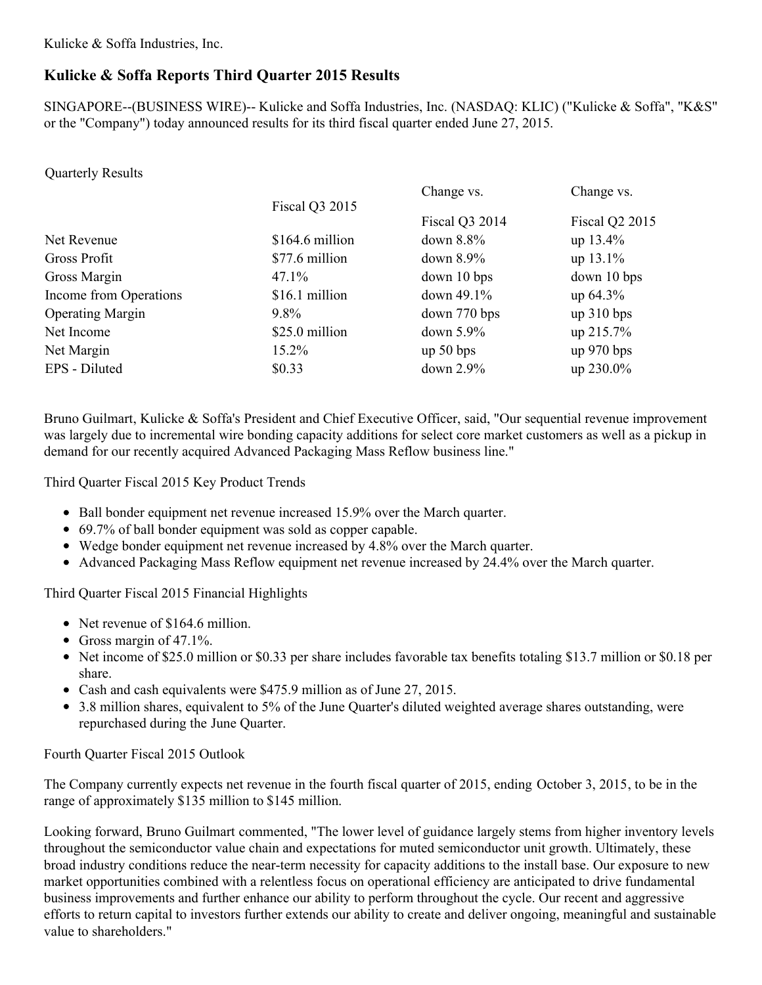Kulicke & Soffa Industries, Inc.

# **Kulicke & Soffa Reports Third Quarter 2015 Results**

SINGAPORE--(BUSINESS WIRE)-- Kulicke and Soffa Industries, Inc. (NASDAQ: KLIC) ("Kulicke & Soffa", "K&S" or the "Company") today announced results for its third fiscal quarter ended June 27, 2015.

 $C<sub>h</sub>$  angles vs.

 $C<sub>h</sub>$  and  $\sim$ 

## Quarterly Results

|                         |                       | Change vs.     | Change vs.            |
|-------------------------|-----------------------|----------------|-----------------------|
|                         | <b>Fiscal Q3 2015</b> |                |                       |
|                         |                       | Fiscal Q3 2014 | <b>Fiscal Q2 2015</b> |
| Net Revenue             | \$164.6 million       | down $8.8\%$   | $up$ 13.4%            |
| Gross Profit            | \$77.6 million        | down $8.9\%$   | $up$ 13.1%            |
| Gross Margin            | 47.1%                 | $down$ 10 bps  | down 10 bps           |
| Income from Operations  | \$16.1 million        | down $49.1\%$  | $up\ 64.3\%$          |
| <b>Operating Margin</b> | $9.8\%$               | down 770 bps   | $up$ 310 bps          |
| Net Income              | \$25.0 million        | down $5.9\%$   | up 215.7%             |
| Net Margin              | 15.2%                 | up 50 bps      | up 970 bps            |
| EPS - Diluted           | \$0.33                | down $2.9\%$   | up 230.0%             |
|                         |                       |                |                       |

Bruno Guilmart, Kulicke & Soffa's President and Chief Executive Officer, said, "Our sequential revenue improvement was largely due to incremental wire bonding capacity additions for select core market customers as well as a pickup in demand for our recently acquired Advanced Packaging Mass Reflow business line."

Third Quarter Fiscal 2015 Key Product Trends

- Ball bonder equipment net revenue increased 15.9% over the March quarter.
- 69.7% of ball bonder equipment was sold as copper capable.
- Wedge bonder equipment net revenue increased by 4.8% over the March quarter.
- Advanced Packaging Mass Reflow equipment net revenue increased by 24.4% over the March quarter.

Third Quarter Fiscal 2015 Financial Highlights

- Net revenue of \$164.6 million.
- Gross margin of  $47.1\%$ .
- Net income of \$25.0 million or \$0.33 per share includes favorable tax benefits totaling \$13.7 million or \$0.18 per share.
- Cash and cash equivalents were \$475.9 million as of June 27, 2015.
- 3.8 million shares, equivalent to 5% of the June Quarter's diluted weighted average shares outstanding, were repurchased during the June Quarter.

Fourth Quarter Fiscal 2015 Outlook

The Company currently expects net revenue in the fourth fiscal quarter of 2015, ending October 3, 2015, to be in the range of approximately \$135 million to \$145 million.

Looking forward, Bruno Guilmart commented, "The lower level of guidance largely stems from higher inventory levels throughout the semiconductor value chain and expectations for muted semiconductor unit growth. Ultimately, these broad industry conditions reduce the near-term necessity for capacity additions to the install base. Our exposure to new market opportunities combined with a relentless focus on operational efficiency are anticipated to drive fundamental business improvements and further enhance our ability to perform throughout the cycle. Our recent and aggressive efforts to return capital to investors further extends our ability to create and deliver ongoing, meaningful and sustainable value to shareholders."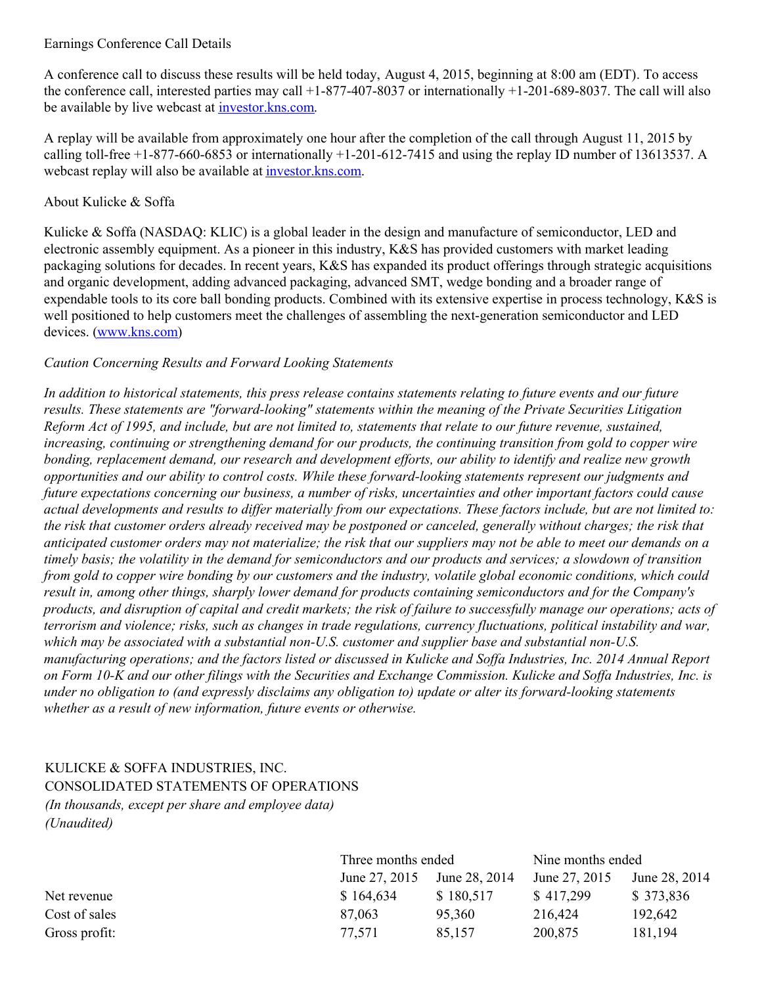### Earnings Conference Call Details

A conference call to discuss these results will be held today, August 4, 2015, beginning at 8:00 am (EDT). To access the conference call, interested parties may call +1-877-407-8037 or internationally +1-201-689-8037. The call will also be available by live webcast at [investor.kns.com](http://investor.kns.com/).

A replay will be available from approximately one hour after the completion of the call through August 11, 2015 by calling toll-free +1-877-660-6853 or internationally +1-201-612-7415 and using the replay ID number of 13613537. A webcast replay will also be available at [investor.kns.com](http://investor.kns.com/).

#### About Kulicke & Soffa

Kulicke & Soffa (NASDAQ: KLIC) is a global leader in the design and manufacture of semiconductor, LED and electronic assembly equipment. As a pioneer in this industry, K&S has provided customers with market leading packaging solutions for decades. In recent years, K&S has expanded its product offerings through strategic acquisitions and organic development, adding advanced packaging, advanced SMT, wedge bonding and a broader range of expendable tools to its core ball bonding products. Combined with its extensive expertise in process technology, K&S is well positioned to help customers meet the challenges of assembling the next-generation semiconductor and LED devices. [\(www.kns.com](http://cts.businesswire.com/ct/CT?id=smartlink&url=http%3A%2F%2Fwww.kns.com&esheet=51155705&newsitemid=20150804005838&lan=en-US&anchor=www.kns.com&index=1&md5=c03daab84a5bb893f6e91e5c325ef3cf))

#### *Caution Concerning Results and Forward Looking Statements*

In addition to historical statements, this press release contains statements relating to future events and our future *results. These statements are "forward-looking" statements within the meaning of the Private Securities Litigation* Reform Act of 1995, and include, but are not limited to, statements that relate to our future revenue, sustained, increasing, continuing or strengthening demand for our products, the continuing transition from gold to copper wire bonding, replacement demand, our research and development efforts, our ability to identify and realize new growth *opportunities and our ability to control costs. While these forward-looking statements represent our judgments and* future expectations concerning our business, a number of risks, uncertainties and other important factors could cause actual developments and results to differ materially from our expectations. These factors include, but are not limited to: the risk that customer orders already received may be postponed or canceled, generally without charges; the risk that anticipated customer orders may not materialize; the risk that our suppliers may not be able to meet our demands on a timely basis; the volatility in the demand for semiconductors and our products and services; a slowdown of transition from gold to copper wire bonding by our customers and the industry, volatile global economic conditions, which could *result in, among other things, sharply lower demand for products containing semiconductors and for the Company's* products, and disruption of capital and credit markets; the risk of failure to successfully manage our operations; acts of terrorism and violence; risks, such as changes in trade regulations, currency fluctuations, political instability and war, *which may be associated with a substantial non-U.S. customer and supplier base and substantial non-U.S.* manufacturing operations; and the factors listed or discussed in Kulicke and Soffa Industries, Inc. 2014 Annual Report on Form 10-K and our other filings with the Securities and Exchange Commission. Kulicke and Soffa Industries, Inc. is under no obligation to (and expressly disclaims any obligation to) update or alter its forward-looking statements *whether as a result of new information, future events or otherwise.*

# KULICKE & SOFFA INDUSTRIES, INC.

CONSOLIDATED STATEMENTS OF OPERATIONS *(In thousands, except per share and employee data)*

*(Unaudited)*

|               |               | Three months ended |               | Nine months ended |  |
|---------------|---------------|--------------------|---------------|-------------------|--|
|               | June 27, 2015 | June 28, 2014      | June 27, 2015 | June 28, 2014     |  |
| Net revenue   | \$164,634     | \$180,517          | \$417,299     | \$373,836         |  |
| Cost of sales | 87,063        | 95,360             | 216.424       | 192.642           |  |
| Gross profit: | 77,571        | 85,157             | 200,875       | 181,194           |  |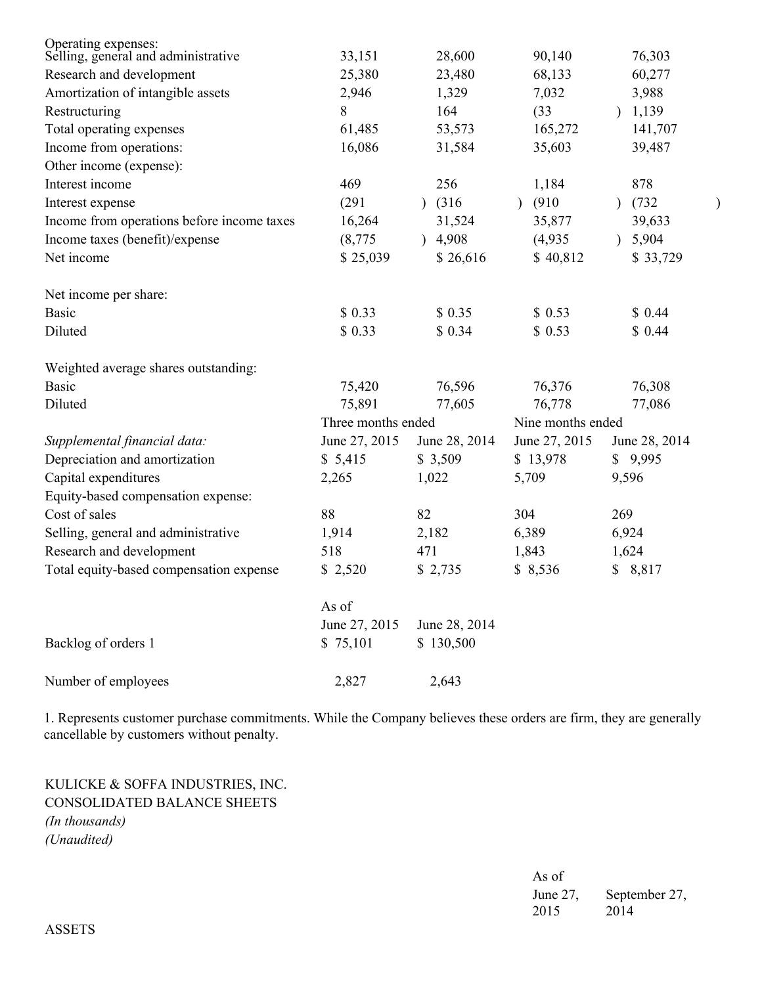| Operating expenses:<br>Selling, general and administrative | 33,151             | 28,600        | 90,140            | 76,303                  |
|------------------------------------------------------------|--------------------|---------------|-------------------|-------------------------|
| Research and development                                   | 25,380             | 23,480        | 68,133            | 60,277                  |
| Amortization of intangible assets                          | 2,946              | 1,329         | 7,032             | 3,988                   |
| Restructuring                                              | 8                  | 164           | (33)              | 1,139                   |
| Total operating expenses                                   | 61,485             | 53,573        | 165,272           | 141,707                 |
| Income from operations:                                    | 16,086             | 31,584        | 35,603            | 39,487                  |
| Other income (expense):                                    |                    |               |                   |                         |
| Interest income                                            | 469                | 256           | 1,184             | 878                     |
| Interest expense                                           | (291)              | (316)         | (910)             | (732)                   |
| Income from operations before income taxes                 | 16,264             | 31,524        | 35,877            | 39,633                  |
| Income taxes (benefit)/expense                             | (8, 775)           | 4,908         | (4,935)           | 5,904                   |
| Net income                                                 | \$25,039           | \$26,616      | \$40,812          | \$33,729                |
| Net income per share:                                      |                    |               |                   |                         |
| <b>Basic</b>                                               | \$0.33             | \$0.35        | \$0.53            | \$0.44                  |
| Diluted                                                    | \$0.33             | \$0.34        | \$0.53            | \$0.44                  |
| Weighted average shares outstanding:                       |                    |               |                   |                         |
| <b>Basic</b>                                               | 75,420             | 76,596        | 76,376            | 76,308                  |
| Diluted                                                    | 75,891             | 77,605        | 76,778            | 77,086                  |
|                                                            | Three months ended |               | Nine months ended |                         |
| Supplemental financial data:                               | June 27, 2015      | June 28, 2014 | June 27, 2015     | June 28, 2014           |
| Depreciation and amortization                              | \$5,415            | \$3,509       | \$13,978          | \$9,995                 |
| Capital expenditures                                       | 2,265              | 1,022         | 5,709             | 9,596                   |
| Equity-based compensation expense:                         |                    |               |                   |                         |
| Cost of sales                                              | 88                 | 82            | 304               | 269                     |
| Selling, general and administrative                        | 1,914              | 2,182         | 6,389             | 6,924                   |
| Research and development                                   | 518                | 471           | 1,843             | 1,624                   |
| Total equity-based compensation expense                    | \$ 2,520           | \$2,735       | \$8,536           | 8,817<br>$\mathbb{S}^-$ |
|                                                            | As of              |               |                   |                         |
|                                                            | June 27, 2015      | June 28, 2014 |                   |                         |
| Backlog of orders 1                                        | \$75,101           | \$130,500     |                   |                         |
| Number of employees                                        | 2,827              | 2,643         |                   |                         |

1. Represents customer purchase commitments. While the Company believes these orders are firm, they are generally cancellable by customers without penalty.

KULICKE & SOFFA INDUSTRIES, INC. CONSOLIDATED BALANCE SHEETS *(In thousands) (Unaudited)*

> As of June 27, 2015 September 27, 2014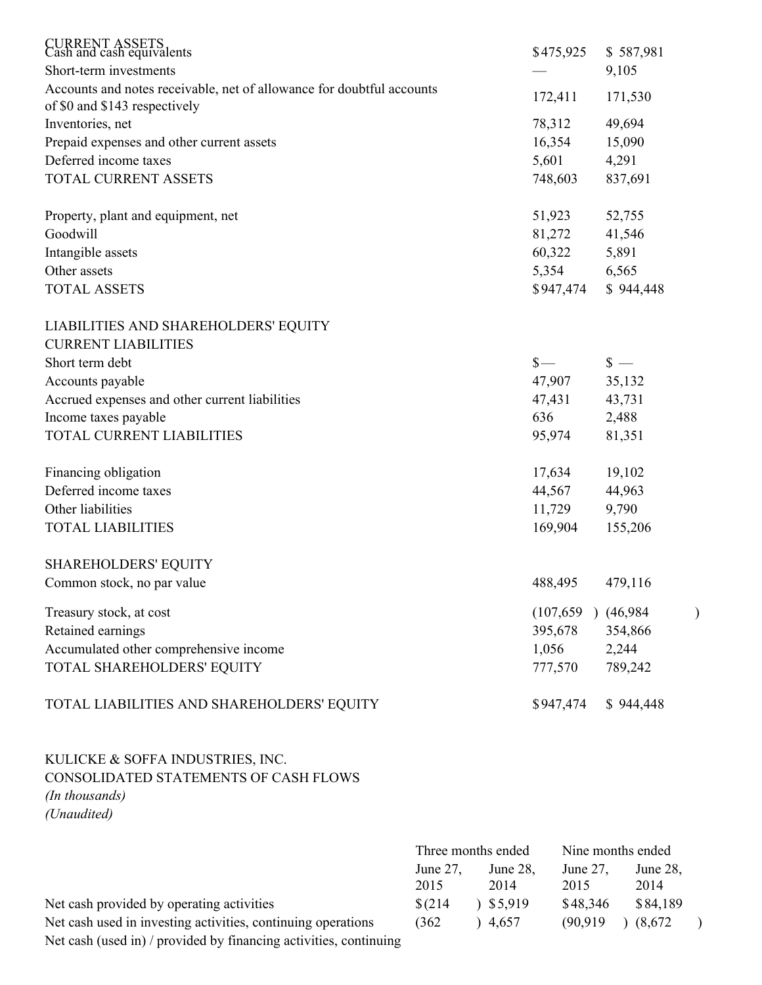| <b>CURRENT ASSETS</b><br>Cash and cash equivalents                    | \$475,925              | \$587,981    |  |
|-----------------------------------------------------------------------|------------------------|--------------|--|
| Short-term investments                                                |                        | 9,105        |  |
| Accounts and notes receivable, net of allowance for doubtful accounts | 172,411                | 171,530      |  |
| of \$0 and \$143 respectively                                         |                        |              |  |
| Inventories, net                                                      | 78,312                 | 49,694       |  |
| Prepaid expenses and other current assets                             | 16,354                 | 15,090       |  |
| Deferred income taxes                                                 | 5,601                  | 4,291        |  |
| TOTAL CURRENT ASSETS                                                  | 748,603                | 837,691      |  |
| Property, plant and equipment, net                                    | 51,923                 | 52,755       |  |
| Goodwill                                                              | 81,272                 | 41,546       |  |
| Intangible assets                                                     | 60,322                 | 5,891        |  |
| Other assets                                                          | 5,354                  | 6,565        |  |
| <b>TOTAL ASSETS</b>                                                   | \$947,474              | \$944,448    |  |
| LIABILITIES AND SHAREHOLDERS' EQUITY                                  |                        |              |  |
| <b>CURRENT LIABILITIES</b>                                            |                        |              |  |
| Short term debt                                                       | $\frac{\S}{\S}$        | $\sqrt{s}$ — |  |
| Accounts payable                                                      | 47,907                 | 35,132       |  |
| Accrued expenses and other current liabilities                        | 47,431                 | 43,731       |  |
| Income taxes payable                                                  | 636                    | 2,488        |  |
| TOTAL CURRENT LIABILITIES                                             | 95,974                 | 81,351       |  |
| Financing obligation                                                  | 17,634                 | 19,102       |  |
| Deferred income taxes                                                 | 44,567                 | 44,963       |  |
| Other liabilities                                                     | 11,729                 | 9,790        |  |
| <b>TOTAL LIABILITIES</b>                                              | 169,904                | 155,206      |  |
| <b>SHAREHOLDERS' EQUITY</b>                                           |                        |              |  |
| Common stock, no par value                                            | 488,495                | 479,116      |  |
| Treasury stock, at cost                                               | $(107,659)$ $(46,984)$ |              |  |
| Retained earnings                                                     | 395,678                | 354,866      |  |
| Accumulated other comprehensive income                                | 1,056                  | 2,244        |  |
| TOTAL SHAREHOLDERS' EQUITY                                            | 777,570                | 789,242      |  |
| TOTAL LIABILITIES AND SHAREHOLDERS' EQUITY                            | \$947,474              | \$944,448    |  |
| VIII ICVE & SOFEA INDUSTRIES INC                                      |                        |              |  |

KULICKE & SOFFA INDUSTRIES, INC. CONSOLIDATED STATEMENTS OF CASH FLOWS *(In thousands) (Unaudited)*

|                                                                   | Three months ended   |        | Nine months ended |          |  |
|-------------------------------------------------------------------|----------------------|--------|-------------------|----------|--|
|                                                                   | June 27,<br>June 28. |        | June 27.          | June 28, |  |
|                                                                   | 2015                 | 2014   | 2015              | 2014     |  |
| Net cash provided by operating activities                         | \$(214)              | 35,919 | \$48,346          | \$84,189 |  |
| Net cash used in investing activities, continuing operations      | (362)                | 4,657  | (90.919)          | (8,672)  |  |
| Net cash (used in) / provided by financing activities, continuing |                      |        |                   |          |  |